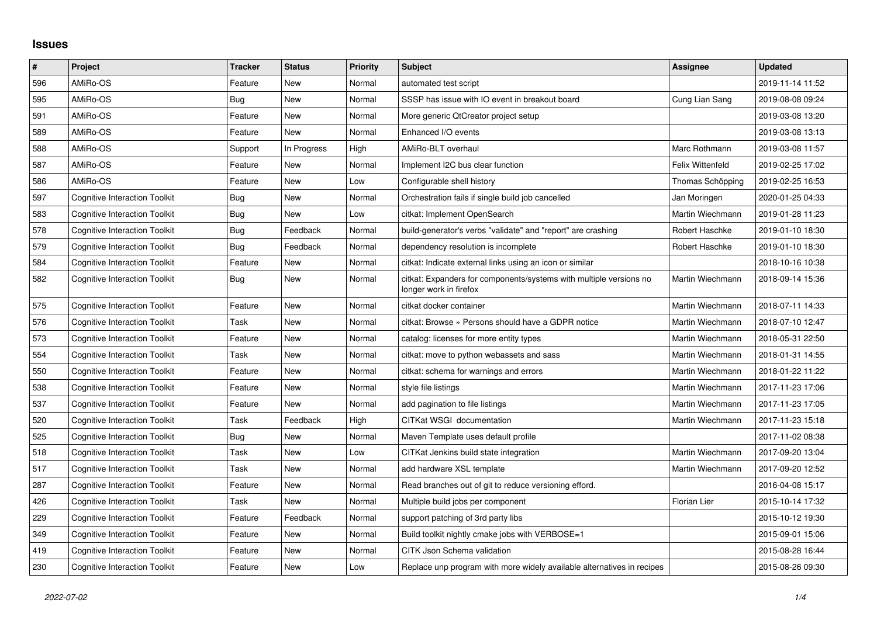## **Issues**

| $\#$ | Project                              | <b>Tracker</b> | <b>Status</b> | <b>Priority</b> | <b>Subject</b>                                                                               | Assignee         | <b>Updated</b>   |
|------|--------------------------------------|----------------|---------------|-----------------|----------------------------------------------------------------------------------------------|------------------|------------------|
| 596  | AMiRo-OS                             | Feature        | New           | Normal          | automated test script                                                                        |                  | 2019-11-14 11:52 |
| 595  | AMiRo-OS                             | Bug            | <b>New</b>    | Normal          | SSSP has issue with IO event in breakout board                                               | Cung Lian Sang   | 2019-08-08 09:24 |
| 591  | AMiRo-OS                             | Feature        | New           | Normal          | More generic QtCreator project setup                                                         |                  | 2019-03-08 13:20 |
| 589  | AMiRo-OS                             | Feature        | <b>New</b>    | Normal          | Enhanced I/O events                                                                          |                  | 2019-03-08 13:13 |
| 588  | AMiRo-OS                             | Support        | In Progress   | High            | AMiRo-BLT overhaul                                                                           | Marc Rothmann    | 2019-03-08 11:57 |
| 587  | AMiRo-OS                             | Feature        | New           | Normal          | Implement I2C bus clear function                                                             | Felix Wittenfeld | 2019-02-25 17:02 |
| 586  | AMiRo-OS                             | Feature        | New           | Low             | Configurable shell history                                                                   | Thomas Schöpping | 2019-02-25 16:53 |
| 597  | <b>Cognitive Interaction Toolkit</b> | Bug            | New           | Normal          | Orchestration fails if single build job cancelled                                            | Jan Moringen     | 2020-01-25 04:33 |
| 583  | <b>Cognitive Interaction Toolkit</b> | Bug            | New           | Low             | citkat: Implement OpenSearch                                                                 | Martin Wiechmann | 2019-01-28 11:23 |
| 578  | <b>Cognitive Interaction Toolkit</b> | Bug            | Feedback      | Normal          | build-generator's verbs "validate" and "report" are crashing                                 | Robert Haschke   | 2019-01-10 18:30 |
| 579  | <b>Cognitive Interaction Toolkit</b> | Bug            | Feedback      | Normal          | dependency resolution is incomplete                                                          | Robert Haschke   | 2019-01-10 18:30 |
| 584  | <b>Cognitive Interaction Toolkit</b> | Feature        | New           | Normal          | citkat: Indicate external links using an icon or similar                                     |                  | 2018-10-16 10:38 |
| 582  | Cognitive Interaction Toolkit        | Bug            | New           | Normal          | citkat: Expanders for components/systems with multiple versions no<br>longer work in firefox | Martin Wiechmann | 2018-09-14 15:36 |
| 575  | <b>Cognitive Interaction Toolkit</b> | Feature        | <b>New</b>    | Normal          | citkat docker container                                                                      | Martin Wiechmann | 2018-07-11 14:33 |
| 576  | <b>Cognitive Interaction Toolkit</b> | Task           | New           | Normal          | citkat: Browse » Persons should have a GDPR notice                                           | Martin Wiechmann | 2018-07-10 12:47 |
| 573  | <b>Cognitive Interaction Toolkit</b> | Feature        | <b>New</b>    | Normal          | catalog: licenses for more entity types                                                      | Martin Wiechmann | 2018-05-31 22:50 |
| 554  | Cognitive Interaction Toolkit        | Task           | New           | Normal          | citkat: move to python webassets and sass                                                    | Martin Wiechmann | 2018-01-31 14:55 |
| 550  | <b>Cognitive Interaction Toolkit</b> | Feature        | New           | Normal          | citkat: schema for warnings and errors                                                       | Martin Wiechmann | 2018-01-22 11:22 |
| 538  | <b>Cognitive Interaction Toolkit</b> | Feature        | New           | Normal          | style file listings                                                                          | Martin Wiechmann | 2017-11-23 17:06 |
| 537  | <b>Cognitive Interaction Toolkit</b> | Feature        | <b>New</b>    | Normal          | add pagination to file listings                                                              | Martin Wiechmann | 2017-11-23 17:05 |
| 520  | <b>Cognitive Interaction Toolkit</b> | Task           | Feedback      | High            | CITKat WSGI documentation                                                                    | Martin Wiechmann | 2017-11-23 15:18 |
| 525  | <b>Cognitive Interaction Toolkit</b> | Bug            | New           | Normal          | Maven Template uses default profile                                                          |                  | 2017-11-02 08:38 |
| 518  | <b>Cognitive Interaction Toolkit</b> | Task           | New           | Low             | CITKat Jenkins build state integration                                                       | Martin Wiechmann | 2017-09-20 13:04 |
| 517  | <b>Cognitive Interaction Toolkit</b> | Task           | <b>New</b>    | Normal          | add hardware XSL template                                                                    | Martin Wiechmann | 2017-09-20 12:52 |
| 287  | <b>Cognitive Interaction Toolkit</b> | Feature        | New           | Normal          | Read branches out of git to reduce versioning efford.                                        |                  | 2016-04-08 15:17 |
| 426  | <b>Cognitive Interaction Toolkit</b> | Task           | <b>New</b>    | Normal          | Multiple build jobs per component                                                            | Florian Lier     | 2015-10-14 17:32 |
| 229  | <b>Cognitive Interaction Toolkit</b> | Feature        | Feedback      | Normal          | support patching of 3rd party libs                                                           |                  | 2015-10-12 19:30 |
| 349  | <b>Cognitive Interaction Toolkit</b> | Feature        | <b>New</b>    | Normal          | Build toolkit nightly cmake jobs with VERBOSE=1                                              |                  | 2015-09-01 15:06 |
| 419  | <b>Cognitive Interaction Toolkit</b> | Feature        | New           | Normal          | CITK Json Schema validation                                                                  |                  | 2015-08-28 16:44 |
| 230  | <b>Cognitive Interaction Toolkit</b> | Feature        | New           | Low             | Replace unp program with more widely available alternatives in recipes                       |                  | 2015-08-26 09:30 |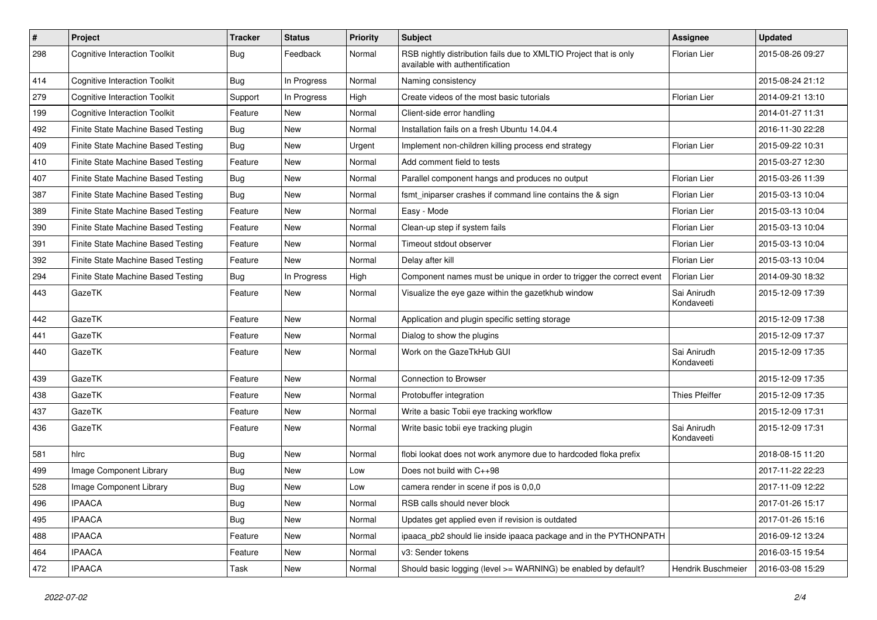| #   | Project                              | <b>Tracker</b> | <b>Status</b> | <b>Priority</b> | Subject                                                                                              | <b>Assignee</b>           | <b>Updated</b>   |
|-----|--------------------------------------|----------------|---------------|-----------------|------------------------------------------------------------------------------------------------------|---------------------------|------------------|
| 298 | <b>Cognitive Interaction Toolkit</b> | Bug            | Feedback      | Normal          | RSB nightly distribution fails due to XMLTIO Project that is only<br>available with authentification | Florian Lier              | 2015-08-26 09:27 |
| 414 | <b>Cognitive Interaction Toolkit</b> | Bug            | In Progress   | Normal          | Naming consistency                                                                                   |                           | 2015-08-24 21:12 |
| 279 | <b>Cognitive Interaction Toolkit</b> | Support        | In Progress   | High            | Create videos of the most basic tutorials                                                            | Florian Lier              | 2014-09-21 13:10 |
| 199 | <b>Cognitive Interaction Toolkit</b> | Feature        | New           | Normal          | Client-side error handling                                                                           |                           | 2014-01-27 11:31 |
| 492 | Finite State Machine Based Testing   | Bug            | New           | Normal          | Installation fails on a fresh Ubuntu 14.04.4                                                         |                           | 2016-11-30 22:28 |
| 409 | Finite State Machine Based Testing   | Bug            | <b>New</b>    | Urgent          | Implement non-children killing process end strategy                                                  | Florian Lier              | 2015-09-22 10:31 |
| 410 | Finite State Machine Based Testing   | Feature        | New           | Normal          | Add comment field to tests                                                                           |                           | 2015-03-27 12:30 |
| 407 | Finite State Machine Based Testing   | Bug            | New           | Normal          | Parallel component hangs and produces no output                                                      | Florian Lier              | 2015-03-26 11:39 |
| 387 | Finite State Machine Based Testing   | Bug            | <b>New</b>    | Normal          | fsmt_iniparser crashes if command line contains the & sign                                           | Florian Lier              | 2015-03-13 10:04 |
| 389 | Finite State Machine Based Testing   | Feature        | New           | Normal          | Easy - Mode                                                                                          | Florian Lier              | 2015-03-13 10:04 |
| 390 | Finite State Machine Based Testing   | Feature        | New           | Normal          | Clean-up step if system fails                                                                        | Florian Lier              | 2015-03-13 10:04 |
| 391 | Finite State Machine Based Testing   | Feature        | New           | Normal          | Timeout stdout observer                                                                              | Florian Lier              | 2015-03-13 10:04 |
| 392 | Finite State Machine Based Testing   | Feature        | New           | Normal          | Delay after kill                                                                                     | <b>Florian Lier</b>       | 2015-03-13 10:04 |
| 294 | Finite State Machine Based Testing   | Bug            | In Progress   | High            | Component names must be unique in order to trigger the correct event                                 | Florian Lier              | 2014-09-30 18:32 |
| 443 | GazeTK                               | Feature        | New           | Normal          | Visualize the eye gaze within the gazetkhub window                                                   | Sai Anirudh<br>Kondaveeti | 2015-12-09 17:39 |
| 442 | GazeTK                               | Feature        | <b>New</b>    | Normal          | Application and plugin specific setting storage                                                      |                           | 2015-12-09 17:38 |
| 441 | GazeTK                               | Feature        | New           | Normal          | Dialog to show the plugins                                                                           |                           | 2015-12-09 17:37 |
| 440 | GazeTK                               | Feature        | New           | Normal          | Work on the GazeTkHub GUI                                                                            | Sai Anirudh<br>Kondaveeti | 2015-12-09 17:35 |
| 439 | GazeTK                               | Feature        | <b>New</b>    | Normal          | Connection to Browser                                                                                |                           | 2015-12-09 17:35 |
| 438 | GazeTK                               | Feature        | New           | Normal          | Protobuffer integration                                                                              | <b>Thies Pfeiffer</b>     | 2015-12-09 17:35 |
| 437 | GazeTK                               | Feature        | New           | Normal          | Write a basic Tobii eye tracking workflow                                                            |                           | 2015-12-09 17:31 |
| 436 | GazeTK                               | Feature        | New           | Normal          | Write basic tobii eye tracking plugin                                                                | Sai Anirudh<br>Kondaveeti | 2015-12-09 17:31 |
| 581 | hlrc                                 | Bug            | <b>New</b>    | Normal          | flobi lookat does not work anymore due to hardcoded floka prefix                                     |                           | 2018-08-15 11:20 |
| 499 | Image Component Library              | Bug            | New           | Low             | Does not build with C++98                                                                            |                           | 2017-11-22 22:23 |
| 528 | Image Component Library              | Bug            | New           | Low             | camera render in scene if pos is 0,0,0                                                               |                           | 2017-11-09 12:22 |
| 496 | <b>IPAACA</b>                        | Bug            | New           | Normal          | RSB calls should never block                                                                         |                           | 2017-01-26 15:17 |
| 495 | <b>IPAACA</b>                        | Bug            | <b>New</b>    | Normal          | Updates get applied even if revision is outdated                                                     |                           | 2017-01-26 15:16 |
| 488 | <b>IPAACA</b>                        | Feature        | New           | Normal          | ipaaca pb2 should lie inside ipaaca package and in the PYTHONPATH                                    |                           | 2016-09-12 13:24 |
| 464 | <b>IPAACA</b>                        | Feature        | New           | Normal          | v3: Sender tokens                                                                                    |                           | 2016-03-15 19:54 |
| 472 | <b>IPAACA</b>                        | Task           | New           | Normal          | Should basic logging (level >= WARNING) be enabled by default?                                       | Hendrik Buschmeier        | 2016-03-08 15:29 |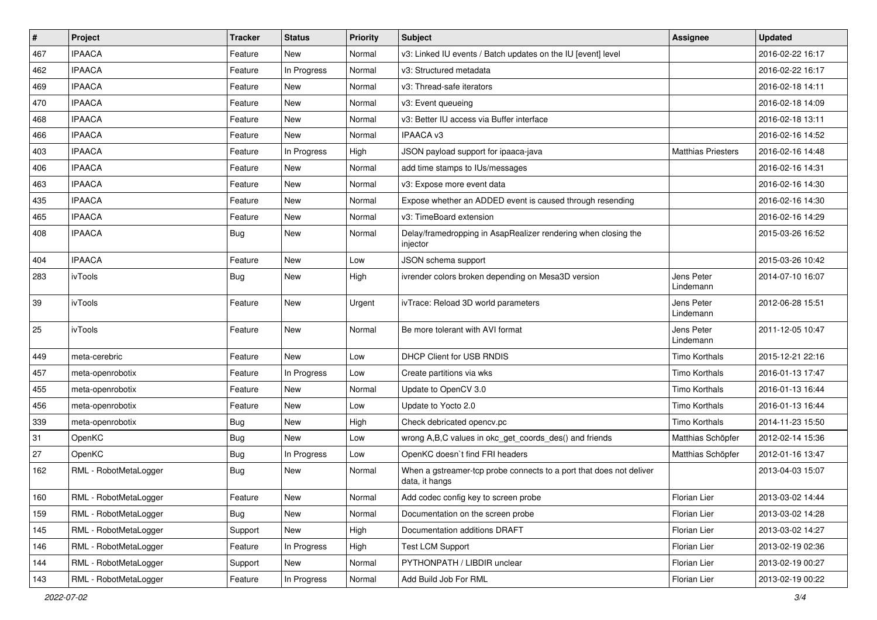| $\#$ | Project               | <b>Tracker</b> | <b>Status</b> | <b>Priority</b> | Subject                                                                               | <b>Assignee</b>           | <b>Updated</b>   |
|------|-----------------------|----------------|---------------|-----------------|---------------------------------------------------------------------------------------|---------------------------|------------------|
| 467  | <b>IPAACA</b>         | Feature        | New           | Normal          | v3: Linked IU events / Batch updates on the IU [event] level                          |                           | 2016-02-22 16:17 |
| 462  | <b>IPAACA</b>         | Feature        | In Progress   | Normal          | v3: Structured metadata                                                               |                           | 2016-02-22 16:17 |
| 469  | <b>IPAACA</b>         | Feature        | New           | Normal          | v3: Thread-safe iterators                                                             |                           | 2016-02-18 14:11 |
| 470  | <b>IPAACA</b>         | Feature        | <b>New</b>    | Normal          | v3: Event queueing                                                                    |                           | 2016-02-18 14:09 |
| 468  | <b>IPAACA</b>         | Feature        | <b>New</b>    | Normal          | v3: Better IU access via Buffer interface                                             |                           | 2016-02-18 13:11 |
| 466  | <b>IPAACA</b>         | Feature        | <b>New</b>    | Normal          | <b>IPAACA v3</b>                                                                      |                           | 2016-02-16 14:52 |
| 403  | <b>IPAACA</b>         | Feature        | In Progress   | High            | JSON payload support for ipaaca-java                                                  | <b>Matthias Priesters</b> | 2016-02-16 14:48 |
| 406  | <b>IPAACA</b>         | Feature        | <b>New</b>    | Normal          | add time stamps to IUs/messages                                                       |                           | 2016-02-16 14:31 |
| 463  | <b>IPAACA</b>         | Feature        | <b>New</b>    | Normal          | v3: Expose more event data                                                            |                           | 2016-02-16 14:30 |
| 435  | <b>IPAACA</b>         | Feature        | <b>New</b>    | Normal          | Expose whether an ADDED event is caused through resending                             |                           | 2016-02-16 14:30 |
| 465  | <b>IPAACA</b>         | Feature        | New           | Normal          | v3: TimeBoard extension                                                               |                           | 2016-02-16 14:29 |
| 408  | <b>IPAACA</b>         | Bug            | New           | Normal          | Delay/framedropping in AsapRealizer rendering when closing the<br>injector            |                           | 2015-03-26 16:52 |
| 404  | <b>IPAACA</b>         | Feature        | <b>New</b>    | Low             | JSON schema support                                                                   |                           | 2015-03-26 10:42 |
| 283  | ivTools               | Bug            | New           | High            | ivrender colors broken depending on Mesa3D version                                    | Jens Peter<br>Lindemann   | 2014-07-10 16:07 |
| 39   | ivTools               | Feature        | <b>New</b>    | Urgent          | ivTrace: Reload 3D world parameters                                                   | Jens Peter<br>Lindemann   | 2012-06-28 15:51 |
| 25   | ivTools               | Feature        | New           | Normal          | Be more tolerant with AVI format                                                      | Jens Peter<br>Lindemann   | 2011-12-05 10:47 |
| 449  | meta-cerebric         | Feature        | New           | Low             | <b>DHCP Client for USB RNDIS</b>                                                      | <b>Timo Korthals</b>      | 2015-12-21 22:16 |
| 457  | meta-openrobotix      | Feature        | In Progress   | Low             | Create partitions via wks                                                             | <b>Timo Korthals</b>      | 2016-01-13 17:47 |
| 455  | meta-openrobotix      | Feature        | <b>New</b>    | Normal          | Update to OpenCV 3.0                                                                  | Timo Korthals             | 2016-01-13 16:44 |
| 456  | meta-openrobotix      | Feature        | <b>New</b>    | Low             | Update to Yocto 2.0                                                                   | <b>Timo Korthals</b>      | 2016-01-13 16:44 |
| 339  | meta-openrobotix      | Bug            | New           | High            | Check debricated opency.pc                                                            | <b>Timo Korthals</b>      | 2014-11-23 15:50 |
| 31   | OpenKC                | Bug            | <b>New</b>    | Low             | wrong A,B,C values in okc_get_coords_des() and friends                                | Matthias Schöpfer         | 2012-02-14 15:36 |
| 27   | OpenKC                | Bug            | In Progress   | Low             | OpenKC doesn't find FRI headers                                                       | Matthias Schöpfer         | 2012-01-16 13:47 |
| 162  | RML - RobotMetaLogger | Bug            | New           | Normal          | When a gstreamer-tcp probe connects to a port that does not deliver<br>data, it hangs |                           | 2013-04-03 15:07 |
| 160  | RML - RobotMetaLogger | Feature        | New           | Normal          | Add codec config key to screen probe                                                  | Florian Lier              | 2013-03-02 14:44 |
| 159  | RML - RobotMetaLogger | Bug            | New           | Normal          | Documentation on the screen probe                                                     | Florian Lier              | 2013-03-02 14:28 |
| 145  | RML - RobotMetaLogger | Support        | New           | High            | Documentation additions DRAFT                                                         | Florian Lier              | 2013-03-02 14:27 |
| 146  | RML - RobotMetaLogger | Feature        | In Progress   | High            | <b>Test LCM Support</b>                                                               | Florian Lier              | 2013-02-19 02:36 |
| 144  | RML - RobotMetaLogger | Support        | New           | Normal          | PYTHONPATH / LIBDIR unclear                                                           | Florian Lier              | 2013-02-19 00:27 |
| 143  | RML - RobotMetaLogger | Feature        | In Progress   | Normal          | Add Build Job For RML                                                                 | Florian Lier              | 2013-02-19 00:22 |